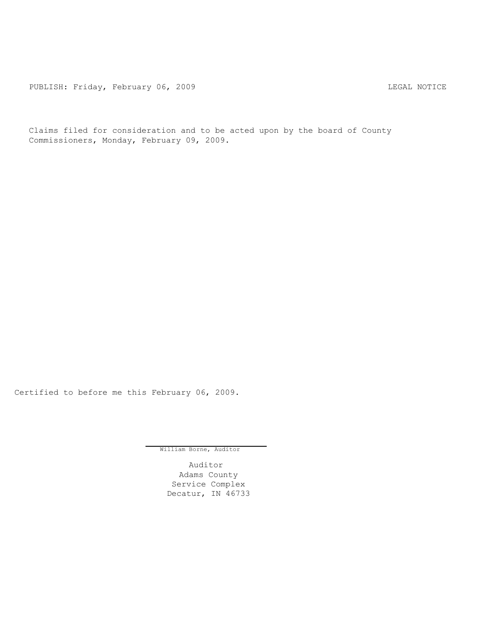PUBLISH: Friday, February 06, 2009 Contract Contract Contract Contract Contract Contract Contract Contract Contract Contract Contract Contract Contract Contract Contract Contract Contract Contract Contract Contract Contrac

Claims filed for consideration and to be acted upon by the board of County Commissioners, Monday, February 09, 2009.

Certified to before me this February 06, 2009.

William Borne, Auditor

Auditor Adams County Service Complex Decatur, IN 46733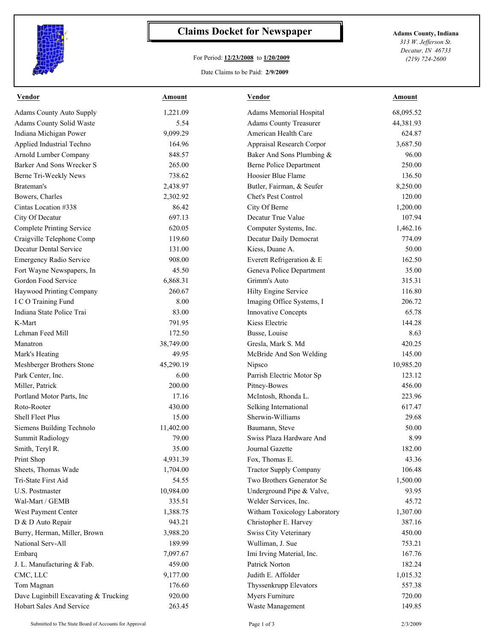

## **Claims Docket for Newspaper Adams County, Indiana**

## For Period: **12/23/2008** to **1/20/2009**

*313 W. Jefferson St. Decatur, IN 46733 (219) 724-2600*

## Date Claims to be Paid: **2/9/2009**

| Vendor                               | Amount    | Vendor                         | Amount    |
|--------------------------------------|-----------|--------------------------------|-----------|
| Adams County Auto Supply             | 1,221.09  | Adams Memorial Hospital        | 68,095.52 |
| Adams County Solid Waste             | 5.54      | <b>Adams County Treasurer</b>  | 44,381.93 |
| Indiana Michigan Power               | 9,099.29  | American Health Care           | 624.87    |
| Applied Industrial Techno            | 164.96    | Appraisal Research Corpor      | 3,687.50  |
| Arnold Lumber Company                | 848.57    | Baker And Sons Plumbing &      | 96.00     |
| Barker And Sons Wrecker S            | 265.00    | <b>Berne Police Department</b> | 250.00    |
| Berne Tri-Weekly News                | 738.62    | Hoosier Blue Flame             | 136.50    |
| Brateman's                           | 2,438.97  | Butler, Fairman, & Seufer      | 8,250.00  |
| Bowers, Charles                      | 2,302.92  | Chet's Pest Control            | 120.00    |
| Cintas Location #338                 | 86.42     | City Of Berne                  | 1,200.00  |
| City Of Decatur                      | 697.13    | Decatur True Value             | 107.94    |
| <b>Complete Printing Service</b>     | 620.05    | Computer Systems, Inc.         | 1,462.16  |
| Craigville Telephone Comp            | 119.60    | Decatur Daily Democrat         | 774.09    |
| Decatur Dental Service               | 131.00    | Kiess, Duane A.                | 50.00     |
| <b>Emergency Radio Service</b>       | 908.00    | Everett Refrigeration & E      | 162.50    |
| Fort Wayne Newspapers, In            | 45.50     | Geneva Police Department       | 35.00     |
| Gordon Food Service                  | 6,868.31  | Grimm's Auto                   | 315.31    |
| Haywood Printing Company             | 260.67    | Hilty Engine Service           | 116.80    |
| I C O Training Fund                  | 8.00      | Imaging Office Systems, I      | 206.72    |
| Indiana State Police Trai            | 83.00     | Innovative Concepts            | 65.78     |
| K-Mart                               | 791.95    | Kiess Electric                 | 144.28    |
| Lehman Feed Mill                     | 172.50    | Busse, Louise                  | 8.63      |
| Manatron                             | 38,749.00 | Gresla, Mark S. Md             | 420.25    |
| Mark's Heating                       | 49.95     | McBride And Son Welding        | 145.00    |
| Meshberger Brothers Stone            | 45,290.19 | Nipsco                         | 10,985.20 |
| Park Center, Inc.                    | 6.00      | Parrish Electric Motor Sp      | 123.12    |
| Miller, Patrick                      | 200.00    | Pitney-Bowes                   | 456.00    |
| Portland Motor Parts, Inc.           | 17.16     | McIntosh, Rhonda L.            | 223.96    |
| Roto-Rooter                          | 430.00    | Selking International          | 617.47    |
| Shell Fleet Plus                     | 15.00     | Sherwin-Williams               | 29.68     |
| Siemens Building Technolo            | 11,402.00 | Baumann, Steve                 | 50.00     |
| <b>Summit Radiology</b>              | 79.00     | Swiss Plaza Hardware And       | 8.99      |
| Smith, Teryl R.                      | 35.00     | Journal Gazette                | 182.00    |
| Print Shop                           | 4,931.39  | Fox, Thomas E.                 | 43.36     |
| Sheets, Thomas Wade                  | 1,704.00  | <b>Tractor Supply Company</b>  | 106.48    |
| Tri-State First Aid                  | 54.55     | Two Brothers Generator Se      | 1,500.00  |
| U.S. Postmaster                      | 10,984.00 | Underground Pipe & Valve,      | 93.95     |
| Wal-Mart / GEMB                      | 335.51    | Welder Services, Inc.          | 45.72     |
| West Payment Center                  | 1,388.75  | Witham Toxicology Laboratory   | 1,307.00  |
| D & D Auto Repair                    | 943.21    | Christopher E. Harvey          | 387.16    |
| Burry, Herman, Miller, Brown         | 3,988.20  | Swiss City Veterinary          | 450.00    |
| National Serv-All                    | 189.99    | Wulliman, J. Sue               | 753.21    |
| Embarq                               | 7,097.67  | Imi Irving Material, Inc.      | 167.76    |
| J. L. Manufacturing & Fab.           | 459.00    | Patrick Norton                 | 182.24    |
| CMC, LLC                             | 9,177.00  | Judith E. Affolder             | 1,015.32  |
| Tom Magnan                           | 176.60    | Thyssenkrupp Elevators         | 557.38    |
| Dave Luginbill Excavating & Trucking | 920.00    | Myers Furniture                | 720.00    |
| Hobart Sales And Service             | 263.45    | Waste Management               | 149.85    |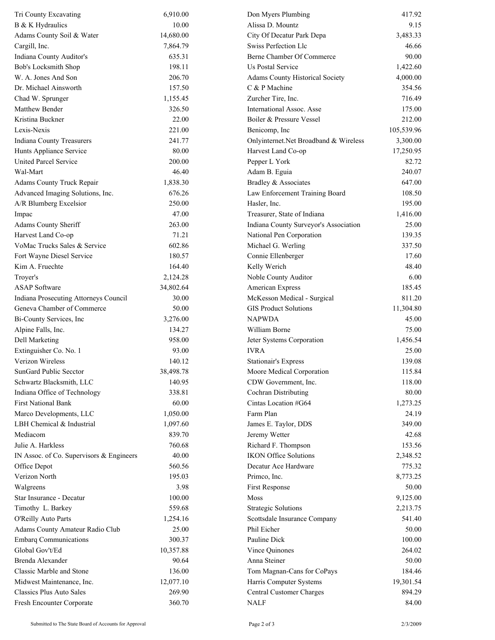| Tri County Excavating                    | 6,910.00  | Don Myers Plumbing                    | 417.92     |
|------------------------------------------|-----------|---------------------------------------|------------|
| B & K Hydraulics                         | 10.00     | Alissa D. Mountz                      | 9.15       |
| Adams County Soil & Water                | 14,680.00 | City Of Decatur Park Depa             | 3,483.33   |
| Cargill, Inc.                            | 7,864.79  | Swiss Perfection Llc                  | 46.66      |
| Indiana County Auditor's                 | 635.31    | Berne Chamber Of Commerce             | 90.00      |
| Bob's Locksmith Shop                     | 198.11    | <b>Us Postal Service</b>              | 1,422.60   |
| W. A. Jones And Son                      | 206.70    | Adams County Historical Society       | 4,000.00   |
| Dr. Michael Ainsworth                    | 157.50    | C & P Machine                         | 354.56     |
| Chad W. Sprunger                         | 1,155.45  | Zurcher Tire, Inc.                    | 716.49     |
| Matthew Bender                           | 326.50    | International Assoc. Asse             | 175.00     |
| Kristina Buckner                         | 22.00     | Boiler & Pressure Vessel              | 212.00     |
| Lexis-Nexis                              | 221.00    | Benicomp, Inc                         | 105,539.96 |
| Indiana County Treasurers                | 241.77    | Onlyinternet.Net Broadband & Wireless | 3,300.00   |
| Hunts Appliance Service                  | 80.00     | Harvest Land Co-op                    | 17,250.95  |
| <b>United Parcel Service</b>             | 200.00    | Pepper L York                         | 82.72      |
| Wal-Mart                                 | 46.40     | Adam B. Eguia                         | 240.07     |
| <b>Adams County Truck Repair</b>         | 1,838.30  | Bradley & Associates                  | 647.00     |
| Advanced Imaging Solutions, Inc.         | 676.26    | Law Enforcement Training Board        | 108.50     |
| A/R Blumberg Excelsior                   | 250.00    | Hasler, Inc.                          | 195.00     |
| Impac                                    | 47.00     | Treasurer, State of Indiana           | 1,416.00   |
| Adams County Sheriff                     | 263.00    | Indiana County Surveyor's Association | 25.00      |
| Harvest Land Co-op                       | 71.21     | National Pen Corporation              | 139.35     |
| VoMac Trucks Sales & Service             | 602.86    | Michael G. Werling                    | 337.50     |
| Fort Wayne Diesel Service                | 180.57    | Connie Ellenberger                    | 17.60      |
| Kim A. Fruechte                          | 164.40    | Kelly Werich                          | 48.40      |
| Troyer's                                 | 2,124.28  | Noble County Auditor                  | 6.00       |
| <b>ASAP</b> Software                     | 34,802.64 | American Express                      | 185.45     |
| Indiana Prosecuting Attorneys Council    | 30.00     | McKesson Medical - Surgical           | 811.20     |
| Geneva Chamber of Commerce               | 50.00     | <b>GIS Product Solutions</b>          | 11,304.80  |
| Bi-County Services, Inc                  | 3,276.00  | <b>NAPWDA</b>                         | 45.00      |
| Alpine Falls, Inc.                       | 134.27    | William Borne                         | 75.00      |
| Dell Marketing                           | 958.00    | Jeter Systems Corporation             | 1,456.54   |
| Extinguisher Co. No. 1                   | 93.00     | <b>IVRA</b>                           | 25.00      |
| Verizon Wireless                         | 140.12    | <b>Stationair's Express</b>           | 139.08     |
| SunGard Public Secctor                   | 38,498.78 | Moore Medical Corporation             | 115.84     |
| Schwartz Blacksmith, LLC                 | 140.95    | CDW Government, Inc.                  | 118.00     |
| Indiana Office of Technology             | 338.81    | Cochran Distributing                  | 80.00      |
| <b>First National Bank</b>               | 60.00     | Cintas Location #G64                  | 1,273.25   |
| Marco Developments, LLC                  | 1,050.00  | Farm Plan                             | 24.19      |
| LBH Chemical & Industrial                | 1,097.60  | James E. Taylor, DDS                  | 349.00     |
| Mediacom                                 | 839.70    | Jeremy Wetter                         | 42.68      |
| Julie A. Harkless                        | 760.68    | Richard F. Thompson                   | 153.56     |
| IN Assoc. of Co. Supervisors & Engineers | 40.00     | <b>IKON Office Solutions</b>          | 2,348.52   |
| Office Depot                             | 560.56    | Decatur Ace Hardware                  | 775.32     |
| Verizon North                            | 195.03    |                                       |            |
|                                          |           | Primco, Inc.                          | 8,773.25   |
| Walgreens                                | 3.98      | First Response                        | 50.00      |
| Star Insurance - Decatur                 | 100.00    | Moss                                  | 9,125.00   |
| Timothy L. Barkey                        | 559.68    | <b>Strategic Solutions</b>            | 2,213.75   |
| O'Reilly Auto Parts                      | 1,254.16  | Scottsdale Insurance Company          | 541.40     |
| Adams County Amateur Radio Club          | 25.00     | Phil Eicher                           | $50.00\,$  |
| <b>Embarq Communications</b>             | 300.37    | Pauline Dick                          | 100.00     |
| Global Gov't/Ed                          | 10,357.88 | Vince Quinones                        | 264.02     |
| Brenda Alexander                         | 90.64     | Anna Steiner                          | 50.00      |
| Classic Marble and Stone                 | 136.00    | Tom Magnan-Cans for CoPays            | 184.46     |
| Midwest Maintenance, Inc.                | 12,077.10 | Harris Computer Systems               | 19,301.54  |
| <b>Classics Plus Auto Sales</b>          | 269.90    | Central Customer Charges              | 894.29     |
| Fresh Encounter Corporate                | 360.70    | <b>NALF</b>                           | 84.00      |